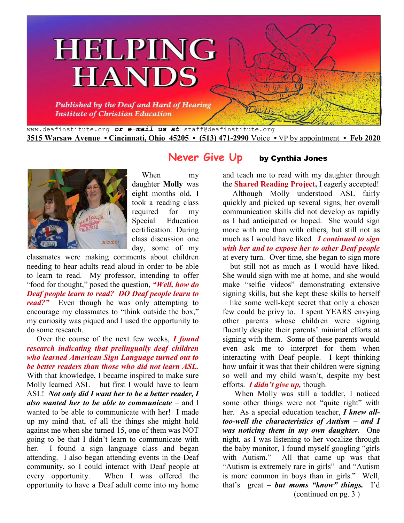



When my daughter **Molly** was eight months old, I took a reading class required for my Special Education certification. During class discussion one day, some of my

classmates were making comments about children needing to hear adults read aloud in order to be able to learn to read. My professor, intending to offer "food for thought," posed the question, *"Well, how do Deaf people learn to read? DO Deaf people learn to read?"* Even though he was only attempting to encourage my classmates to "think outside the box," my curiosity was piqued and I used the opportunity to do some research.

 Over the course of the next few weeks, *I found research indicating that prelingually deaf children who learned American Sign Language turned out to be better readers than those who did not learn ASL.* With that knowledge, I became inspired to make sure Molly learned ASL – but first I would have to learn ASL! *Not only did I want her to be a better reader, I also wanted her to be able to communicate* – and I wanted to be able to communicate with her! I made up my mind that, of all the things she might hold against me when she turned 15, one of them was NOT going to be that I didn't learn to communicate with her. I found a sign language class and began attending. I also began attending events in the Deaf community, so I could interact with Deaf people at every opportunity. When I was offered the opportunity to have a Deaf adult come into my home

# **Never Give Up** by Cynthia Jones

and teach me to read with my daughter through the **Shared Reading Project,** I eagerly accepted!

 Although Molly understood ASL fairly quickly and picked up several signs, her overall communication skills did not develop as rapidly as I had anticipated or hoped. She would sign more with me than with others, but still not as much as I would have liked. *I continued to sign with her and to expose her to other Deaf people* at every turn. Over time, she began to sign more – but still not as much as I would have liked. She would sign with me at home, and she would make "selfie videos" demonstrating extensive signing skills, but she kept these skills to herself – like some well-kept secret that only a chosen few could be privy to. I spent YEARS envying other parents whose children were signing fluently despite their parents' minimal efforts at signing with them. Some of these parents would even ask me to interpret for them when interacting with Deaf people. I kept thinking how unfair it was that their children were signing so well and my child wasn't, despite my best efforts. *I didn't give up,* though.

 When Molly was still a toddler, I noticed some other things were not "quite right" with her. As a special education teacher, *I knew alltoo-well the characteristics of Autism – and I was noticing them in my own daughter.* One night, as I was listening to her vocalize through the baby monitor, I found myself googling "girls with Autism." All that came up was that "Autism is extremely rare in girls" and "Autism is more common in boys than in girls." Well, that's great – *but moms "know" things.* I'd (continued on pg. 3 )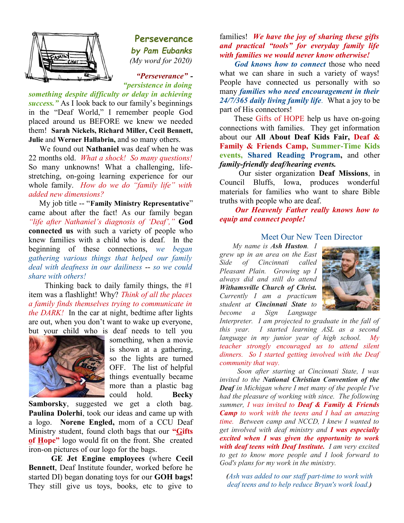

**Perseverance** *by Pam Eubanks (My word for 2020)*

 *"Perseverance" - "persistence in doing*

*something despite difficulty or delay in achieving success."* As I look back to our family's beginnings in the "Deaf World," I remember people God placed around us BEFORE we knew we needed them! **Sarah Nickels, Richard Miller, Cecil Bennett, Julie** and **Werner Hallabrin,** and so many others.

 We found out **Nathaniel** was deaf when he was 22 months old. *What a shock! So many questions!* So many unknowns! What a challenging, lifestretching, on-going learning experience for our whole family. *How do we do "family life" with added new dimensions?* 

 My job title -- "**Family Ministry Representative**" came about after the fact! As our family began *"life after Nathaniel's diagnosis of 'Deaf',"* **God connected us** with such a variety of people who knew families with a child who is deaf. In the beginning of these connections, *we began gathering various things that helped our family deal with deafness in our dailiness* -- *so we could share with others!* 

 Thinking back to daily family things, the #1 item was a flashlight! Why? *Think of all the places a family finds themselves trying to communicate in the DARK!* In the car at night, bedtime after lights are out, when you don't want to wake up everyone, but your child who is deaf needs to tell you



something, when a movie is shown at a gathering, so the lights are turned OFF. The list of helpful things eventually became more than a plastic bag could hold. **Becky**

**Samborsky**, suggested we get a cloth bag. **Paulina Dolerhi**, took our ideas and came up with a logo. **Norene Engled,** mom of a CCU Deaf Ministry student, found cloth bags that our **"Gifts of Hope"** logo would fit on the front. She created iron-on pictures of our logo for the bags.

**GE Jet Engine employees** (where **Cecil Bennett**, Deaf Institute founder, worked before he started DI) began donating toys for our **GOH bags!** They still give us toys, books, etc to give to families! *We have the joy of sharing these gifts and practical "tools" for everyday family life with families we would never know otherwise!*

*God knows how to connect* those who need what we can share in such a variety of ways! People have connected us personally with so many *families who need encouragement in their 24/7/365 daily living family life.* What a joy to be part of His connectors!

These Gifts of HOPE help us have on-going connections with families. They get information about our **All About Deaf Kids Fair, Deaf & Family & Friends Camp, Summer-Time Kids events, Shared Reading Program,** and other *family-friendly deaf/hearing events.* 

 Our sister organization **Deaf Missions**, in Council Bluffs, Iowa, produces wonderful materials for families who want to share Bible truths with people who are deaf.

*Our Heavenly Father really knows how to equip and connect people!* 

### Meet Our New Teen Director

*My name is Ash Huston. I grew up in an area on the East Side of Cincinnati called Pleasant Plain. Growing up I always did and still do attend Withamsville Church of Christ. Currently I am a practicum student at Cincinnati State to become a Sign Language*



*Interpreter. I am projected to graduate in the fall of this year. I started learning ASL as a second language in my junior year of high school. My teacher strongly encouraged us to attend silent dinners. So I started getting involved with the Deaf community that way.*

 *Soon after starting at Cincinnati State, I was invited to the National Christian Convention of the Deaf in Michigan where I met many of the people I've had the pleasure of working with since. The following summer, I was invited to Deaf & Family & Friends Camp to work with the teens and I had an amazing time. Between camp and NCCD, I knew I wanted to get involved with deaf ministry and I was especially excited when I was given the opportunity to work with deaf teens with Deaf Institute. I am very excited to get to know more people and I look forward to God's plans for my work in the ministry.*

*(Ash was added to our staff part-time to work with deaf teens and to help reduce Bryan's work load.)*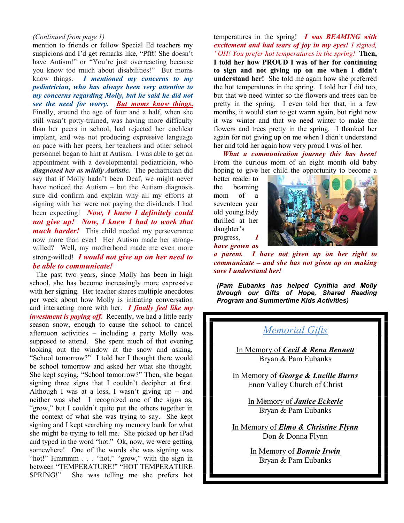#### *(Continued from page 1)*

mention to friends or fellow Special Ed teachers my suspicions and I'd get remarks like, "Pfft! She doesn't have Autism!" or "You're just overreacting because you know too much about disabilities!" But moms know things. *I mentioned my concerns to my pediatrician, who has always been very attentive to my concerns regarding Molly, but he said he did not see the need for worry. But moms know things***.** Finally, around the age of four and a half, when she still wasn't potty-trained, was having more difficulty than her peers in school, had rejected her cochlear implant, and was not producing expressive language on pace with her peers, her teachers and other school personnel began to hint at Autism. I was able to get an appointment with a developmental pediatrician, who *diagnosed her as mildly Autistic.* The pediatrician did say that if Molly hadn't been Deaf, we might never have noticed the Autism – but the Autism diagnosis sure did confirm and explain why all my efforts at signing with her were not paying the dividends I had been expecting! *Now, I knew I definitely could not give up! Now, I knew I had to work that much harder!* This child needed my perseverance now more than ever! Her Autism made her strongwilled? Well, my motherhood made me even more strong-willed! *I would not give up on her need to be able to communicate!* 

The past two years, since Molly has been in high school, she has become increasingly more expressive with her signing. Her teacher shares multiple anecdotes per week about how Molly is initiating conversation and interacting more with her. *I finally feel like my investment is paying off.* Recently, we had a little early season snow, enough to cause the school to cancel afternoon activities – including a party Molly was supposed to attend. She spent much of that evening looking out the window at the snow and asking, "School tomorrow?" I told her I thought there would be school tomorrow and asked her what she thought. She kept saying, "School tomorrow?" Then, she began signing three signs that I couldn't decipher at first. Although I was at a loss, I wasn't giving  $up -$  and neither was she! I recognized one of the signs as, "grow," but I couldn't quite put the others together in the context of what she was trying to say. She kept signing and I kept searching my memory bank for what she might be trying to tell me. She picked up her iPad and typed in the word "hot." Ok, now, we were getting somewhere! One of the words she was signing was "hot!" Hmmmm . . . "hot," "grow," with the sign in between "TEMPERATURE!" "HOT TEMPERATURE SPRING!" She was telling me she prefers hot

temperatures in the spring! *I was BEAMING with excitement and had tears of joy in my eyes! I signed, "OH! You prefer hot temperatures in the spring!* **Then, I told her how PROUD I was of her for continuing to sign and not giving up on me when I didn't understand her!** She told me again how she preferred the hot temperatures in the spring. I told her I did too, but that we need winter so the flowers and trees can be pretty in the spring. I even told her that, in a few months, it would start to get warm again, but right now it was winter and that we need winter to make the flowers and trees pretty in the spring. I thanked her again for not giving up on me when I didn't understand her and told her again how very proud I was of her.

*What a communication journey this has been!*  From the curious mom of an eight month old baby hoping to give her child the opportunity to become a

better reader to the beaming mom of a seventeen year old young lady thrilled at her daughter's progress, *I have grown as* 



*a parent. I have not given up on her right to communicate – and she has not given up on making sure I understand her!*

*(Pam Eubanks has helped Cynthia and Molly through our Gifts of Hope, Shared Reading Program and Summertime Kids Activities)*

# *Memorial Gifts*

In Memory of *Cecil & Rena Bennett* Bryan & Pam Eubanks

In Memory of *George & Lucille Burns* Enon Valley Church of Christ

> In Memory of *Janice Eckerle* Bryan & Pam Eubanks

In Memory of *Elmo & Christine Flynn* Don & Donna Flynn

> In Memory of *Bonnie Irwin* Bryan & Pam Eubanks